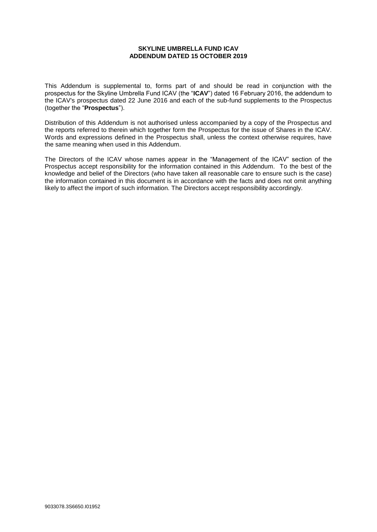## **SKYLINE UMBRELLA FUND ICAV ADDENDUM DATED 15 OCTOBER 2019**

This Addendum is supplemental to, forms part of and should be read in conjunction with the prospectus for the Skyline Umbrella Fund ICAV (the "**ICAV**") dated 16 February 2016, the addendum to the ICAV's prospectus dated 22 June 2016 and each of the sub-fund supplements to the Prospectus (together the "**Prospectus**").

Distribution of this Addendum is not authorised unless accompanied by a copy of the Prospectus and the reports referred to therein which together form the Prospectus for the issue of Shares in the ICAV. Words and expressions defined in the Prospectus shall, unless the context otherwise requires, have the same meaning when used in this Addendum.

The Directors of the ICAV whose names appear in the "Management of the ICAV" section of the Prospectus accept responsibility for the information contained in this Addendum. To the best of the knowledge and belief of the Directors (who have taken all reasonable care to ensure such is the case) the information contained in this document is in accordance with the facts and does not omit anything likely to affect the import of such information. The Directors accept responsibility accordingly.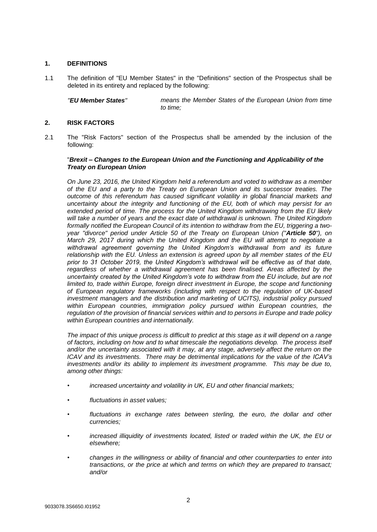# **1. DEFINITIONS**

1.1 The definition of "EU Member States" in the "Definitions" section of the Prospectus shall be deleted in its entirety and replaced by the following:

*"EU Member States" means the Member States of the European Union from time to time;*

## **2. RISK FACTORS**

2.1 The "Risk Factors" section of the Prospectus shall be amended by the inclusion of the following:

## "*Brexit – Changes to the European Union and the Functioning and Applicability of the Treaty on European Union*

*On June 23, 2016, the United Kingdom held a referendum and voted to withdraw as a member of the EU and a party to the Treaty on European Union and its successor treaties. The outcome of this referendum has caused significant volatility in global financial markets and uncertainty about the integrity and functioning of the EU, both of which may persist for an extended period of time. The process for the United Kingdom withdrawing from the EU likely*  will take a number of years and the exact date of withdrawal is unknown. The United Kingdom formally notified the European Council of its intention to withdraw from the EU, triggering a two*year "divorce" period under Article 50 of the Treaty on European Union ("Article 50"), on March 29, 2017 during which the United Kingdom and the EU will attempt to negotiate a withdrawal agreement governing the United Kingdom's withdrawal from and its future relationship with the EU. Unless an extension is agreed upon by all member states of the EU prior to 31 October 2019, the United Kingdom's withdrawal will be effective as of that date, regardless of whether a withdrawal agreement has been finalised. Areas affected by the uncertainty created by the United Kingdom's vote to withdraw from the EU include, but are not limited to, trade within Europe, foreign direct investment in Europe, the scope and functioning of European regulatory frameworks (including with respect to the regulation of UK-based investment managers and the distribution and marketing of UCITS), industrial policy pursued within European countries, immigration policy pursued within European countries, the regulation of the provision of financial services within and to persons in Europe and trade policy within European countries and internationally.* 

*The impact of this unique process is difficult to predict at this stage as it will depend on a range of factors, including on how and to what timescale the negotiations develop. The process itself and/or the uncertainty associated with it may, at any stage, adversely affect the return on the ICAV and its investments. There may be detrimental implications for the value of the ICAV's investments and/or its ability to implement its investment programme. This may be due to, among other things:* 

- *• increased uncertainty and volatility in UK, EU and other financial markets;*
- *• fluctuations in asset values;*
- *• fluctuations in exchange rates between sterling, the euro, the dollar and other currencies;*
- *• increased illiquidity of investments located, listed or traded within the UK, the EU or elsewhere;*
- *• changes in the willingness or ability of financial and other counterparties to enter into transactions, or the price at which and terms on which they are prepared to transact; and/or*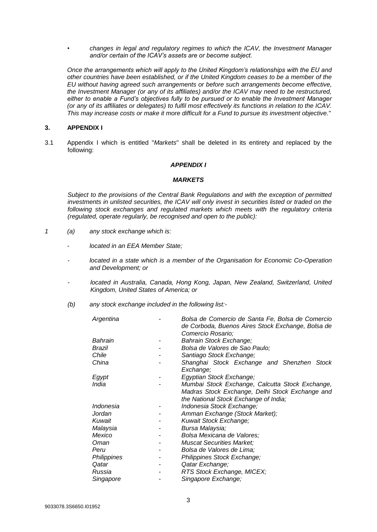*• changes in legal and regulatory regimes to which the ICAV, the Investment Manager and/or certain of the ICAV's assets are or become subject.*

*Once the arrangements which will apply to the United Kingdom's relationships with the EU and other countries have been established, or if the United Kingdom ceases to be a member of the EU without having agreed such arrangements or before such arrangements become effective, the Investment Manager (or any of its affiliates) and/or the ICAV may need to be restructured, either to enable a Fund's objectives fully to be pursued or to enable the Investment Manager (or any of its affiliates or delegates) to fulfil most effectively its functions in relation to the ICAV. This may increase costs or make it more difficult for a Fund to pursue its investment objective.*"

## **3. APPENDIX I**

3.1 Appendix I which is entitled "*Markets*" shall be deleted in its entirety and replaced by the following:

## *APPENDIX I*

#### *MARKETS*

*Subject to the provisions of the Central Bank Regulations and with the exception of permitted investments in unlisted securities, the ICAV will only invest in securities listed or traded on the following stock exchanges and regulated markets which meets with the regulatory criteria (regulated, operate regularly, be recognised and open to the public):*

- *1 (a) any stock exchange which is:*
	- *- located in an EEA Member State;*
	- *located in a state which is a member of the Organisation for Economic Co-Operation and Development; or*
	- *- located in Australia, Canada, Hong Kong, Japan, New Zealand, Switzerland, United Kingdom, United States of America; or*
	- *(b) any stock exchange included in the following list:-*

| Bolsa de Comercio de Santa Fe, Bolsa de Comercio  |
|---------------------------------------------------|
| de Corboda, Buenos Aires Stock Exchange, Bolsa de |
| Comercio Rosario:                                 |
| Bahrain Stock Exchange;                           |
| Bolsa de Valores de Sao Paulo;                    |
| Santiago Stock Exchange;                          |
| Shanghai Stock Exchange and Shenzhen Stock        |
| Exchange;                                         |
| Egyptian Stock Exchange;                          |
| Mumbai Stock Exchange, Calcutta Stock Exchange,   |
| Madras Stock Exchange, Delhi Stock Exchange and   |
| the National Stock Exchange of India;             |
| Indonesia Stock Exchange;                         |
| Amman Exchange (Stock Market);                    |
| Kuwait Stock Exchange;                            |
| Bursa Malaysia;                                   |
| Bolsa Mexicana de Valores;                        |
| <b>Muscat Securities Market;</b>                  |
| Bolsa de Valores de Lima;                         |
| Philippines Stock Exchange;                       |
| Qatar Exchange;                                   |
| RTS Stock Exchange, MICEX;                        |
| Singapore Exchange;                               |
|                                                   |